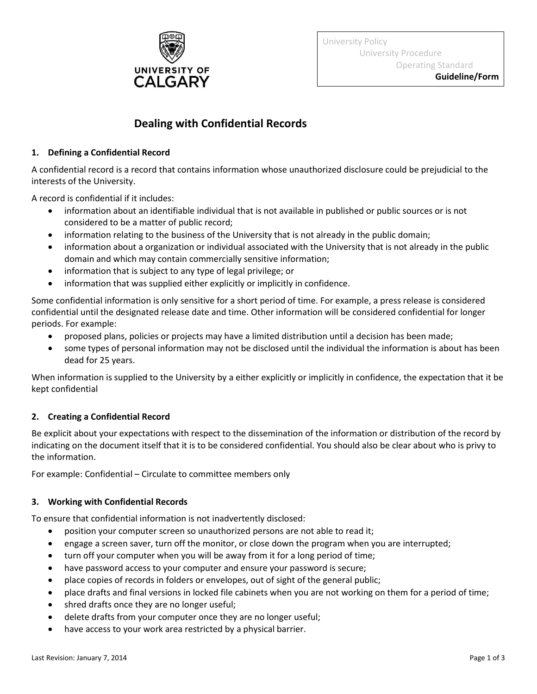

# **Dealing with Confidential Records**

# **1. Defining a Confidential Record**

A confidential record is a record that contains information whose unauthorized disclosure could be prejudicial to the interests of the University.

A record is confidential if it includes:

- information about an identifiable individual that is not available in published or public sources or is not considered to be a matter of public record;
- information relating to the business of the University that is not already in the public domain;
- information about a organization or individual associated with the University that is not already in the public domain and which may contain commercially sensitive information;
- information that is subject to any type of legal privilege; or
- information that was supplied either explicitly or implicitly in confidence.

Some confidential information is only sensitive for a short period of time. For example, a press release is considered confidential until the designated release date and time. Other information will be considered confidential for longer periods. For example:

- proposed plans, policies or projects may have a limited distribution until a decision has been made;
- some types of personal information may not be disclosed until the individual the information is about has been dead for 25 years.

When information is supplied to the University by a either explicitly or implicitly in confidence, the expectation that it be kept confidential

# **2. Creating a Confidential Record**

Be explicit about your expectations with respect to the dissemination of the information or distribution of the record by indicating on the document itself that it is to be considered confidential. You should also be clear about who is privy to the information.

For example: Confidential – Circulate to committee members only

# **3. Working with Confidential Records**

To ensure that confidential information is not inadvertently disclosed:

- position your computer screen so unauthorized persons are not able to read it;
- engage a screen saver, turn off the monitor, or close down the program when you are interrupted;
- turn off your computer when you will be away from it for a long period of time;
- have password access to your computer and ensure your password is secure;
- place copies of records in folders or envelopes, out of sight of the general public;
- place drafts and final versions in locked file cabinets when you are not working on them for a period of time;
- shred drafts once they are no longer useful;
- delete drafts from your computer once they are no longer useful;
- have access to your work area restricted by a physical barrier.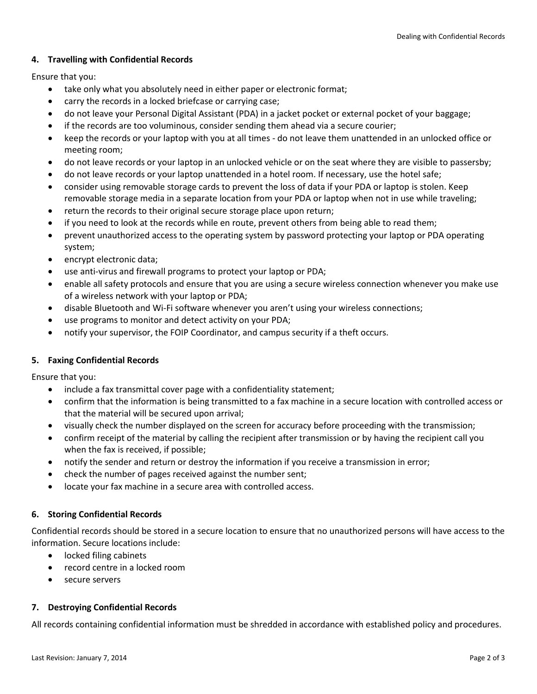## **4. Travelling with Confidential Records**

Ensure that you:

- take only what you absolutely need in either paper or electronic format;
- carry the records in a locked briefcase or carrying case;
- do not leave your Personal Digital Assistant (PDA) in a jacket pocket or external pocket of your baggage;
- if the records are too voluminous, consider sending them ahead via a secure courier;
- keep the records or your laptop with you at all times do not leave them unattended in an unlocked office or meeting room;
- do not leave records or your laptop in an unlocked vehicle or on the seat where they are visible to passersby;
- do not leave records or your laptop unattended in a hotel room. If necessary, use the hotel safe;
- consider using removable storage cards to prevent the loss of data if your PDA or laptop is stolen. Keep removable storage media in a separate location from your PDA or laptop when not in use while traveling;
- return the records to their original secure storage place upon return;
- if you need to look at the records while en route, prevent others from being able to read them;
- prevent unauthorized access to the operating system by password protecting your laptop or PDA operating system;
- encrypt electronic data;
- use anti-virus and firewall programs to protect your laptop or PDA;
- enable all safety protocols and ensure that you are using a secure wireless connection whenever you make use of a wireless network with your laptop or PDA;
- disable Bluetooth and Wi-Fi software whenever you aren't using your wireless connections;
- use programs to monitor and detect activity on your PDA;
- notify your supervisor, the FOIP Coordinator, and campus security if a theft occurs.

## **5. Faxing Confidential Records**

Ensure that you:

- include a fax transmittal cover page with a confidentiality statement;
- confirm that the information is being transmitted to a fax machine in a secure location with controlled access or that the material will be secured upon arrival;
- visually check the number displayed on the screen for accuracy before proceeding with the transmission;
- confirm receipt of the material by calling the recipient after transmission or by having the recipient call you when the fax is received, if possible;
- notify the sender and return or destroy the information if you receive a transmission in error;
- check the number of pages received against the number sent;
- locate your fax machine in a secure area with controlled access.

## **6. Storing Confidential Records**

Confidential records should be stored in a secure location to ensure that no unauthorized persons will have access to the information. Secure locations include:

- locked filing cabinets
- record centre in a locked room
- secure servers

## **7. Destroying Confidential Records**

All records containing confidential information must be shredded in accordance with established policy and procedures.